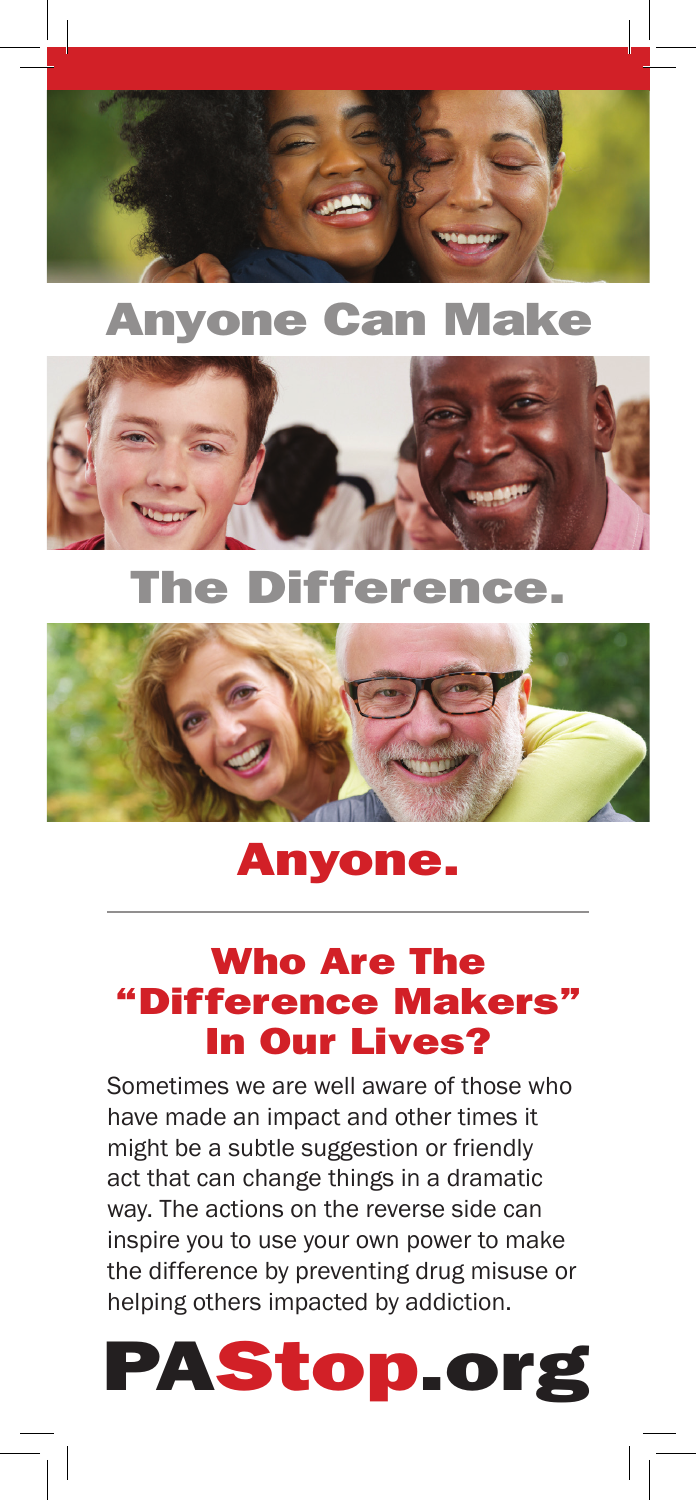

# Anyone Can Make



# The Difference.



# Anyone.

## Who Are The "Difference Makers" In Our Lives?

Sometimes we are well aware of those who have made an impact and other times it might be a subtle suggestion or friendly act that can change things in a dramatic way. The actions on the reverse side can inspire you to use your own power to make the difference by preventing drug misuse or helping others impacted by addiction.